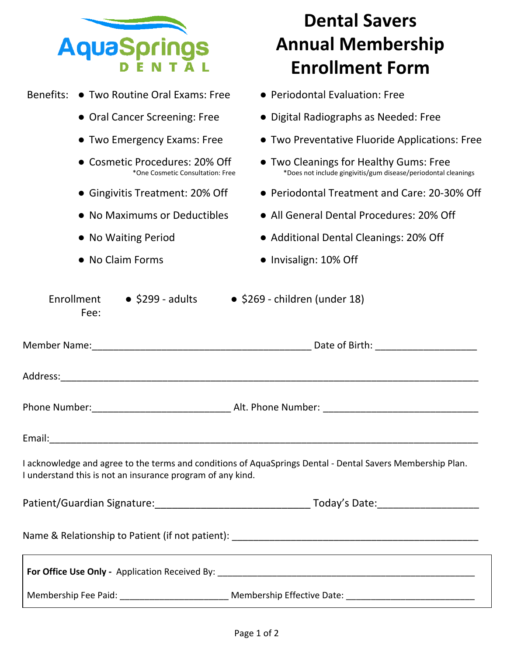|                                                                         | <b>Dental Savers</b>                                                                                           |  |  |
|-------------------------------------------------------------------------|----------------------------------------------------------------------------------------------------------------|--|--|
| <b>AquaSpring</b>                                                       | <b>Annual Membership</b>                                                                                       |  |  |
|                                                                         | <b>Enrollment Form</b>                                                                                         |  |  |
| Benefits:<br>• Two Routine Oral Exams: Free                             | • Periodontal Evaluation: Free                                                                                 |  |  |
| • Oral Cancer Screening: Free                                           | • Digital Radiographs as Needed: Free                                                                          |  |  |
| • Two Emergency Exams: Free                                             | • Two Preventative Fluoride Applications: Free                                                                 |  |  |
| <b>Cosmetic Procedures: 20% Off</b><br>*One Cosmetic Consultation: Free | • Two Cleanings for Healthy Gums: Free<br>*Does not include gingivitis/gum disease/periodontal cleanings       |  |  |
| • Gingivitis Treatment: 20% Off                                         | • Periodontal Treatment and Care: 20-30% Off                                                                   |  |  |
| • No Maximums or Deductibles                                            | • All General Dental Procedures: 20% Off                                                                       |  |  |
| • No Waiting Period                                                     | • Additional Dental Cleanings: 20% Off                                                                         |  |  |
| • No Claim Forms                                                        | • Invisalign: 10% Off                                                                                          |  |  |
| Fee:<br>Member Name:                                                    | Date of Birth:                                                                                                 |  |  |
| Address:                                                                |                                                                                                                |  |  |
|                                                                         |                                                                                                                |  |  |
|                                                                         |                                                                                                                |  |  |
|                                                                         |                                                                                                                |  |  |
| I understand this is not an insurance program of any kind.              | I acknowledge and agree to the terms and conditions of AquaSprings Dental - Dental Savers Membership Plan.     |  |  |
|                                                                         |                                                                                                                |  |  |
|                                                                         |                                                                                                                |  |  |
|                                                                         |                                                                                                                |  |  |
|                                                                         | Membership Fee Paid: ________________________________ Membership Effective Date: _____________________________ |  |  |